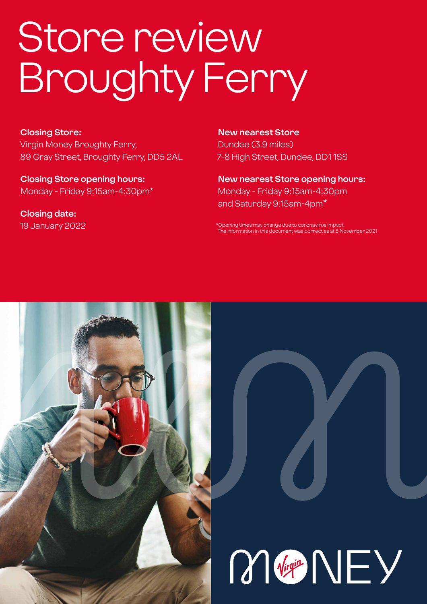# Store review Broughty Ferry

#### **Closing Store:**

Virgin Money Broughty Ferry, 89 Gray Street, Broughty Ferry, DD5 2AL

**Closing Store opening hours:**  Monday - Friday 9:15am-4:30pm\*

**Closing date:**  19 January 2022

**New nearest Store** Dundee (3.9 miles) 7-8 High Street, Dundee, DD1 1SS

**New nearest Store opening hours:** Monday - Friday 9:15am-4:30pm and Saturday 9:15am-4pm\*

\*Opening times may change due to coronavirus impact. The information in this document was correct as at 5 November 2021



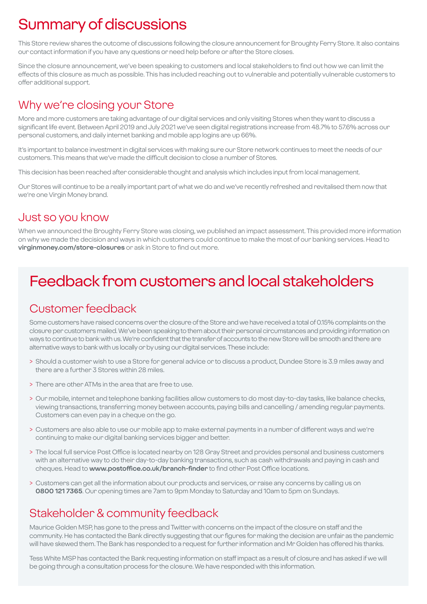# Summary of discussions

This Store review shares the outcome of discussions following the closure announcement for Broughty Ferry Store. It also contains our contact information if you have any questions or need help before or after the Store closes.

Since the closure announcement, we've been speaking to customers and local stakeholders to find out how we can limit the effects of this closure as much as possible. This has included reaching out to vulnerable and potentially vulnerable customers to offer additional support.

### Why we're closing your Store

More and more customers are taking advantage of our digital services and only visiting Stores when they want to discuss a significant life event. Between April 2019 and July 2021 we've seen digital registrations increase from 48.7% to 57.6% across our personal customers, and daily internet banking and mobile app logins are up 66%.

It's important to balance investment in digital services with making sure our Store network continues to meet the needs of our customers. This means that we've made the difficult decision to close a number of Stores.

This decision has been reached after considerable thought and analysis which includes input from local management.

Our Stores will continue to be a really important part of what we do and we've recently refreshed and revitalised them now that we're one Virgin Money brand.

### Just so you know

When we announced the Broughty Ferry Store was closing, we published an impact assessment. This provided more information on why we made the decision and ways in which customers could continue to make the most of our banking services. Head to **virginmoney.com/store-closures** or ask in Store to find out more.

# Feedback from customers and local stakeholders

### Customer feedback

Some customers have raised concerns over the closure of the Store and we have received a total of 0.15% complaints on the closure per customers mailed. We've been speaking to them about their personal circumstances and providing information on ways to continue to bank with us. We're confident that the transfer of accounts to the new Store will be smooth and there are alternative ways to bank with us locally or by using our digital services. These include:

- > Should a customer wish to use a Store for general advice or to discuss a product, Dundee Store is 3.9 miles away and there are a further 3 Stores within 28 miles.
- > There are other ATMs in the area that are free to use.
- > Our mobile, internet and telephone banking facilities allow customers to do most day-to-day tasks, like balance checks, viewing transactions, transferring money between accounts, paying bills and cancelling / amending regular payments. Customers can even pay in a cheque on the go.
- > Customers are also able to use our mobile app to make external payments in a number of different ways and we're continuing to make our digital banking services bigger and better.
- > The local full service Post Office is located nearby on 128 Gray Street and provides personal and business customers with an alternative way to do their day-to-day banking transactions, such as cash withdrawals and paying in cash and cheques. Head to **www.postoffice.co.uk/branch-finder** to find other Post Office locations.
- > Customers can get all the information about our products and services, or raise any concerns by calling us on **0800 121 7365**. Our opening times are 7am to 9pm Monday to Saturday and 10am to 5pm on Sundays.

### Stakeholder & community feedback

Maurice Golden MSP, has gone to the press and Twitter with concerns on the impact of the closure on staff and the community. He has contacted the Bank directly suggesting that our figures for making the decision are unfair as the pandemic will have skewed them. The Bank has responded to a request for further information and Mr Golden has offered his thanks.

Tess White MSP has contacted the Bank requesting information on staff impact as a result of closure and has asked if we will be going through a consultation process for the closure. We have responded with this information.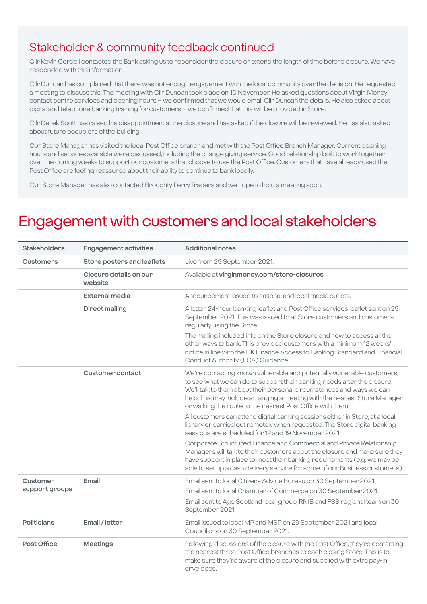### Stakeholder & community feedback continued

Cllr Kevin Cordell contacted the Bank asking us to reconsider the closure or extend the length of time before closure. We have responded with this information.

Cllr Duncan has complained that there was not enough engagement with the local community over the decision. He requested a meeting to discuss this. The meeting with Cllr Duncan took place on 10 November. He asked questions about Virgin Money contact centre services and opening hours – we confirmed that we would email Cllr Duncan the details. He also asked about digital and telephone banking training for customers – we confirmed that this will be provided in Store.

Cllr Derek Scott has raised his disappointment at the closure and has asked if the closure will be reviewed. He has also asked about future occupiers of the building.

Our Store Manager has visited the local Post Office branch and met with the Post Office Branch Manager. Current opening hours and services available were discussed, including the change giving service. Good relationship built to work together over the coming weeks to support our customers that choose to use the Post Office. Customers that have already used the Post Office are feeling reassured about their ability to continue to bank locally.

Our Store Manager has also contacted Broughty Ferry Traders and we hope to hold a meeting soon.

### Engagement with customers and local stakeholders

| <b>Stakeholders</b>        | <b>Engagement activities</b>      | <b>Additional notes</b>                                                                                                                                                                                                                                                                                                                                                                                                                                                                                                                                                                                                                                             |
|----------------------------|-----------------------------------|---------------------------------------------------------------------------------------------------------------------------------------------------------------------------------------------------------------------------------------------------------------------------------------------------------------------------------------------------------------------------------------------------------------------------------------------------------------------------------------------------------------------------------------------------------------------------------------------------------------------------------------------------------------------|
| <b>Customers</b>           | Store posters and leaflets        | Live from 29 September 2021.                                                                                                                                                                                                                                                                                                                                                                                                                                                                                                                                                                                                                                        |
|                            | Closure details on our<br>website | Available at virginmoney.com/store-closures                                                                                                                                                                                                                                                                                                                                                                                                                                                                                                                                                                                                                         |
|                            | External media                    | Announcement issued to national and local media outlets.                                                                                                                                                                                                                                                                                                                                                                                                                                                                                                                                                                                                            |
|                            | <b>Direct mailing</b>             | A letter, 24-hour banking leaflet and Post Office services leaflet sent on 29<br>September 2021. This was issued to all Store customers and customers<br>regularly using the Store.<br>The mailing included info on the Store closure and how to access all the<br>other ways to bank. This provided customers with a minimum 12 weeks'<br>notice in line with the UK Finance Access to Banking Standard and Financial<br>Conduct Authority (FCA) Guidance.                                                                                                                                                                                                         |
|                            | Customer contact                  | We're contacting known vulnerable and potentially vulnerable customers,<br>to see what we can do to support their banking needs after the closure.<br>We'll talk to them about their personal circumstances and ways we can<br>help. This may include arranging a meeting with the nearest Store Manager<br>or walking the route to the nearest Post Office with them.<br>All customers can attend digital banking sessions either in Store, at a local<br>library or carried out remotely when requested. The Store digital banking<br>sessions are scheduled for 12 and 19 November 2021.<br>Corporate Structured Finance and Commercial and Private Relationship |
|                            |                                   | Managers will talk to their customers about the closure and make sure they<br>have support in place to meet their banking requirements (e.g. we may be<br>able to set up a cash delivery service for some of our Business customers).                                                                                                                                                                                                                                                                                                                                                                                                                               |
| Customer<br>support groups | Email                             | Email sent to local Citizens Advice Bureau on 30 September 2021.<br>Email sent to local Chamber of Commerce on 30 September 2021.<br>Email sent to Age Scotland local group, RNIB and FSB regional team on 30<br>September 2021.                                                                                                                                                                                                                                                                                                                                                                                                                                    |
| <b>Politicians</b>         | Email / letter                    | Email issued to local MP and MSP on 29 September 2021 and local<br>Councillors on 30 September 2021.                                                                                                                                                                                                                                                                                                                                                                                                                                                                                                                                                                |
| Post Office                | <b>Meetings</b>                   | Following discussions of the closure with the Post Office, they're contacting<br>the nearest three Post Office branches to each closing Store. This is to<br>make sure they're aware of the closure and supplied with extra pay-in<br>envelopes.                                                                                                                                                                                                                                                                                                                                                                                                                    |